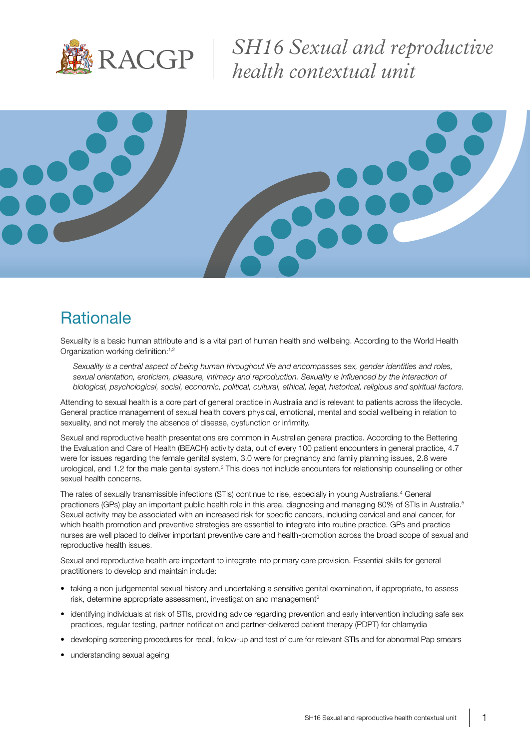

*SH16 Sexual and reproductive health contextual unit*



### **Rationale**

Sexuality is a basic human attribute and is a vital part of human health and wellbeing. According to the World Health Organization working definition:<sup>1,2</sup>

*Sexuality is a central aspect of being human throughout life and encompasses sex, gender identities and roles, sexual orientation, eroticism, pleasure, intimacy and reproduction. Sexuality is influenced by the interaction of biological, psychological, social, economic, political, cultural, ethical, legal, historical, religious and spiritual factors.*

Attending to sexual health is a core part of general practice in Australia and is relevant to patients across the lifecycle. General practice management of sexual health covers physical, emotional, mental and social wellbeing in relation to sexuality, and not merely the absence of disease, dysfunction or infirmity.

Sexual and reproductive health presentations are common in Australian general practice. According to the Bettering the Evaluation and Care of Health (BEACH) activity data, out of every 100 patient encounters in general practice, 4.7 were for issues regarding the female genital system, 3.0 were for pregnancy and family planning issues, 2.8 were urological, and 1.2 for the male genital system.<sup>3</sup> This does not include encounters for relationship counselling or other sexual health concerns.

The rates of sexually transmissible infections (STIs) continue to rise, especially in young Australians.<sup>4</sup> General practioners (GPs) play an important public health role in this area, diagnosing and managing 80% of STIs in Australia.<sup>5</sup> Sexual activity may be associated with an increased risk for specific cancers, including cervical and anal cancer, for which health promotion and preventive strategies are essential to integrate into routine practice. GPs and practice nurses are well placed to deliver important preventive care and health-promotion across the broad scope of sexual and reproductive health issues.

Sexual and reproductive health are important to integrate into primary care provision. Essential skills for general practitioners to develop and maintain include:

- taking a non-judgemental sexual history and undertaking a sensitive genital examination, if appropriate, to assess risk, determine appropriate assessment, investigation and management<sup>6</sup>
- identifying individuals at risk of STIs, providing advice regarding prevention and early intervention including safe sex practices, regular testing, partner notification and partner-delivered patient therapy (PDPT) for chlamydia
- developing screening procedures for recall, follow-up and test of cure for relevant STIs and for abnormal Pap smears
- understanding sexual ageing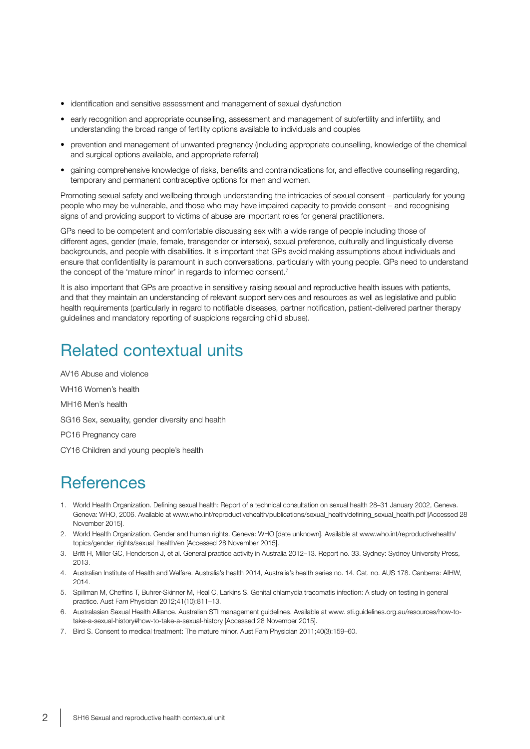- identification and sensitive assessment and management of sexual dysfunction
- early recognition and appropriate counselling, assessment and management of subfertility and infertility, and understanding the broad range of fertility options available to individuals and couples
- prevention and management of unwanted pregnancy (including appropriate counselling, knowledge of the chemical and surgical options available, and appropriate referral)
- gaining comprehensive knowledge of risks, benefits and contraindications for, and effective counselling regarding, temporary and permanent contraceptive options for men and women.

Promoting sexual safety and wellbeing through understanding the intricacies of sexual consent – particularly for young people who may be vulnerable, and those who may have impaired capacity to provide consent – and recognising signs of and providing support to victims of abuse are important roles for general practitioners.

GPs need to be competent and comfortable discussing sex with a wide range of people including those of different ages, gender (male, female, transgender or intersex), sexual preference, culturally and linguistically diverse backgrounds, and people with disabilities. It is important that GPs avoid making assumptions about individuals and ensure that confidentiality is paramount in such conversations, particularly with young people. GPs need to understand the concept of the 'mature minor' in regards to informed consent.<sup>7</sup>

It is also important that GPs are proactive in sensitively raising sexual and reproductive health issues with patients, and that they maintain an understanding of relevant support services and resources as well as legislative and public health requirements (particularly in regard to notifiable diseases, partner notification, patient-delivered partner therapy guidelines and mandatory reporting of suspicions regarding child abuse).

## Related contextual units

AV16 Abuse and violence WH16 Women's health MH16 Men's health SG16 Sex, sexuality, gender diversity and health PC16 Pregnancy care CY16 Children and young people's health

#### **References**

- 1. World Health Organization. Defining sexual health: Report of a technical consultation on sexual health 28–31 January 2002, Geneva. Geneva: WHO, 2006. Available at www.who.int/reproductivehealth/publications/sexual\_health/defining\_sexual\_health.pdf [Accessed 28 November 2015].
- 2. World Health Organization. Gender and human rights. Geneva: WHO [date unknown]. Available at www.who.int/reproductivehealth/ topics/gender\_rights/sexual\_health/en [Accessed 28 November 2015].
- 3. Britt H, Miller GC, Henderson J, et al. General practice activity in Australia 2012–13. Report no. 33. Sydney: Sydney University Press, 2013.
- 4. Australian Institute of Health and Welfare. Australia's health 2014, Australia's health series no. 14. Cat. no. AUS 178. Canberra: AIHW, 2014.
- 5. Spillman M, Cheffins T, Buhrer-Skinner M, Heal C, Larkins S. Genital chlamydia tracomatis infection: A study on testing in general practice. Aust Fam Physician 2012;41(10):811–13.
- 6. Australasian Sexual Health Alliance. Australian STI management guidelines. Available at www. sti.guidelines.org.au/resources/how-totake-a-sexual-history#how-to-take-a-sexual-history [Accessed 28 November 2015].
- 7. Bird S. Consent to medical treatment: The mature minor. Aust Fam Physician 2011;40(3):159–60.